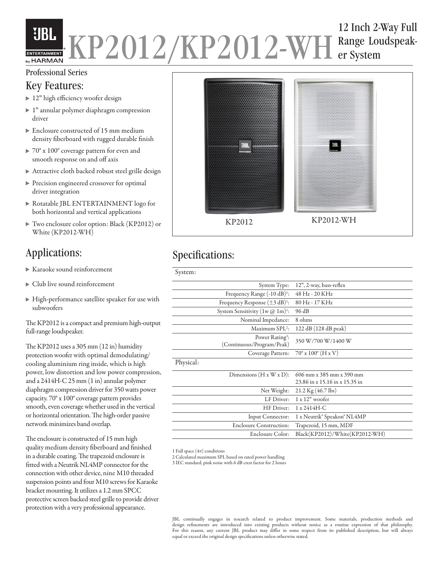## 12 Inch 2-Way Full **UBL** KP2012/KP2012-WH Range Lou Range Loudspeakby HARMAN

### Professional Series

## Key Features:

- ▶ 12" high efficiency woofer design
- 1″ annular polymer diaphragm compression driver
- Enclosure constructed of 15 mm medium density fiberboard with rugged durable finish
- ▶  $70^{\circ}$  x  $100^{\circ}$  coverage pattern for even and smooth response on and off axis
- Attractive cloth backed robust steel grille design
- Precision engineered crossover for optimal driver integration
- Rotatable JBL ENTERTAINMENT logo for both horizontal and vertical applications
- Two enclosure color option: Black (KP2012) or White (KP2012-WH)

- Karaoke sound reinforcement
- Club live sound reinforcement
- High-performance satellite speaker for use with subwoofers

The KP2012 is a compact and premium high-output full-range loudspeaker.

The KP2012 uses a 305 mm (12 in) humidity protection woofer with optimal demodulating/ cooling aluminium ring inside, which is high power, low distortion and low power compression, and a 2414H-C 25 mm (1 in) annular polymer diaphragm compression driver for 350 watts power capacity. 70° x 100° coverage pattern provides smooth, even coverage whether used in the vertical or horizontal orientation. The high-order passive network minimizes band overlap.

The enclosure is constructed of 15 mm high quality medium density fiberboard and finished in a durable coating. The trapezoid enclosure is fitted with a Neutrik NL4MP connector for the connection with other device, nine M10 threaded suspension points and four M10 screws for Karaoke bracket mounting. It utilizes a 1.2 mm SPCC protective screen backed steel grille to provide driver protection with a very professional appearance.



# Applications: Specifications:

| System:   |                                                          |                                      |
|-----------|----------------------------------------------------------|--------------------------------------|
|           | System Type:                                             | 12", 2-way, bass-reflex              |
|           | Frequency Range $(-10 dB)^1$ :                           | 48 Hz - 20 KHz                       |
|           | Frequency Response $(\pm 3 \text{ dB})^1$ :              | 80 Hz - 17 KHz                       |
|           | System Sensitivity $(1w @ 1m)^{1}$ :                     | 96 dB                                |
|           | Nominal Impedance:                                       | 8 ohms                               |
|           | Maximum $SPL2$ :                                         | 122 dB (128 dB peak)                 |
|           | Power Rating <sup>3</sup> :<br>(Continuous/Program/Peak) | 350 W/700 W/1400 W                   |
|           | Coverage Pattern:                                        | $70^{\circ}$ x $100^{\circ}$ (H x V) |
| Physical: |                                                          |                                      |
|           | Dimensions $(H x W x D)$ :                               | 606 mm x 385 mm x 390 mm             |
|           |                                                          | 23.86 in x 15.16 in x 15.35 in       |
|           | Net Weight:                                              | 21.2 Kg $(46.7 \text{ lbs})$         |
|           | LF Driver:                                               | $1 x 12"$ woofer                     |
|           | HF Driver:                                               | 1 x 2414H-C                          |
|           | Input Connector:                                         | 1 x Neutrik® Speakon® NL4MP          |
|           | <b>Enclosure Construction:</b>                           | Trapezoid, 15 mm, MDF                |
|           | Enclosure Color:                                         | Black(KP2012)/White(KP2012-WH)       |
|           |                                                          |                                      |

1 Full space  $(4\pi)$  conditions

2 Calculated maximum SPL based on rated power handling

3 IEC standard, pink noise with 6 dB crest factor for 2 hours

JBL continually engages in research related to product improvement. Some materials, production methods and design refinements are introduced into existing products without notice as a routine expression of that philosophy. For this reason, any current JBL product may differ in some respect from its published description, but will always equal or exceed the original design specifications unless otherwise stated.